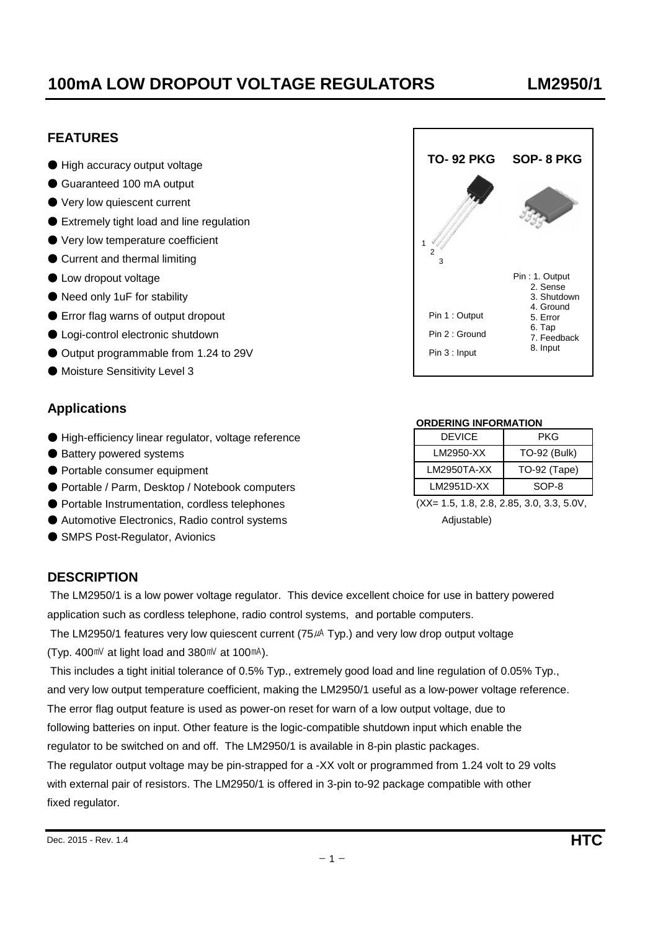#### Dec. 2015 - Rev. 1.4 **HTC**

# **100mA LOW DROPOUT VOLTAGE REGULATORS LM2950/1**

# **FEATURES**

- High accuracy output voltage
- Guaranteed 100 mA output
- Very low quiescent current
- Extremely tight load and line regulation
- Very low temperature coefficient
- Current and thermal limiting
- Low dropout voltage
- Need only 1uF for stability
- $\bullet$  Error flag warns of output dropout
- Logi-control electronic shutdown
- Output programmable from 1.24 to 29V
- Moisture Sensitivity Level 3

# **Applications**

- High-efficiency linear regulator, voltage reference
- Battery powered systems
- Portable consumer equipment
- Portable / Parm, Desktop / Notebook computers
- Portable Instrumentation, cordless telephones (XX= 1.5, 1.8, 2.8, 2.85, 3.0, 3.3, 5.0V,
- Automotive Electronics, Radio control systems Adjustable) and Adjustable
- SMPS Post-Regulator, Avionics

## **DESCRIPTION**

 The LM2950/1 is a low power voltage regulator. This device excellent choice for use in battery powered application such as cordless telephone, radio control systems, and portable computers.

The LM2950/1 features very low quiescent current ( $75\mu$ A Typ.) and very low drop output voltage (Typ. 400 $\text{mV}$  at light load and 380 $\text{mV}$  at 100 $\text{mA}$ ).

 This includes a tight initial tolerance of 0.5% Typ., extremely good load and line regulation of 0.05% Typ., and very low output temperature coefficient, making the LM2950/1 useful as a low-power voltage reference. The error flag output feature is used as power-on reset for warn of a low output voltage, due to following batteries on input. Other feature is the logic-compatible shutdown input which enable the regulator to be switched on and off. The LM2950/1 is available in 8-pin plastic packages. The regulator output voltage may be pin-strapped for a -XX volt or programmed from 1.24 volt to 29 volts with external pair of resistors. The LM2950/1 is offered in 3-pin to-92 package compatible with other fixed regulator.

| TO- 92 PKG                                     | SOP-8 PKG                                                                                               |
|------------------------------------------------|---------------------------------------------------------------------------------------------------------|
| 2<br>3                                         |                                                                                                         |
| Pin 1: Output<br>Pin 2: Ground<br>Pin 3: Input | Pin: 1. Output<br>2. Sense<br>3. Shutdown<br>4. Ground<br>5. Error<br>6. Tap<br>7. Feedback<br>8. Input |

#### **ORDERING INFORMATION**

| <b>DEVICE</b> | PKG                 |  |  |  |
|---------------|---------------------|--|--|--|
| LM2950-XX     | <b>TO-92 (Bulk)</b> |  |  |  |
| LM2950TA-XX   | TO-92 (Tape)        |  |  |  |
| LM2951D-XX    | $SOP-8$             |  |  |  |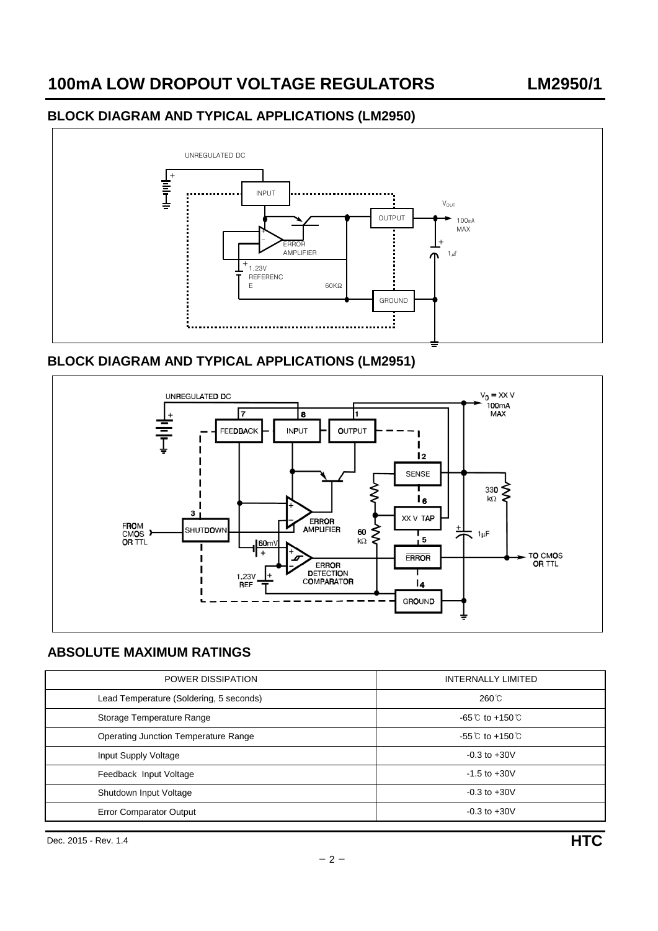### **BLOCK DIAGRAM AND TYPICAL APPLICATIONS (LM2950)**



## **BLOCK DIAGRAM AND TYPICAL APPLICATIONS (LM2951)**



# **ABSOLUTE MAXIMUM RATINGS**

| POWER DISSIPATION                       | <b>INTERNALLY LIMITED</b>            |  |  |
|-----------------------------------------|--------------------------------------|--|--|
| Lead Temperature (Soldering, 5 seconds) | $260^{\circ}$ C                      |  |  |
| Storage Temperature Range               | $-65^{\circ}$ C to $+150^{\circ}$ C  |  |  |
| Operating Junction Temperature Range    | $-55^{\circ}$ C to +150 $^{\circ}$ C |  |  |
| Input Supply Voltage                    | $-0.3$ to $+30V$                     |  |  |
| Feedback Input Voltage                  | $-1.5$ to $+30V$                     |  |  |
| Shutdown Input Voltage                  | $-0.3$ to $+30V$                     |  |  |
| <b>Error Comparator Output</b>          | $-0.3$ to $+30V$                     |  |  |

Dec. 2015 - Rev. 1.4 **HTC**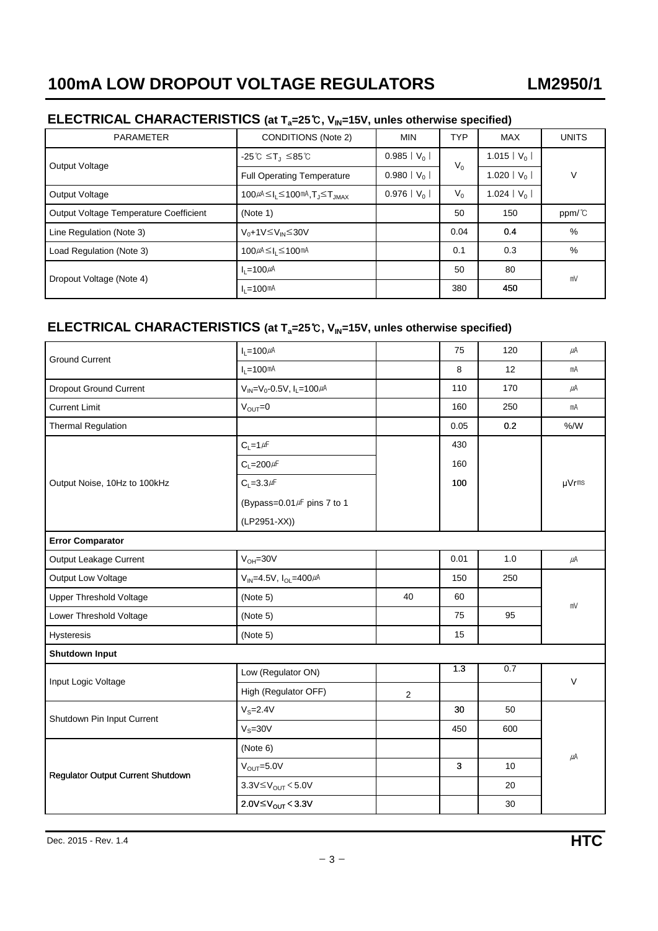# **ELECTRICAL CHARACTERISTICS (at Ta=25**℃**, VIN=15V, unles otherwise specified)**

| <b>PARAMETER</b>                       | <b>CONDITIONS (Note 2)</b>                                   | <b>MIN</b>               | <b>TYP</b>     | <b>MAX</b>    | <b>UNITS</b> |
|----------------------------------------|--------------------------------------------------------------|--------------------------|----------------|---------------|--------------|
| Output Voltage                         | $-25^{\circ}$ C $\leq$ T <sub>J</sub> $\leq$ 85 $^{\circ}$ C | $0.985  V_0 $            | $V_0$<br>$V_0$ | 1.015   $V_0$ | V            |
|                                        | <b>Full Operating Temperature</b>                            | $0.980  V_0 $            |                | 1.020   $V_0$ |              |
| Output Voltage                         | $100\mu A \leq I_1 \leq 100$ mA, $T_1 \leq T_{\text{IMAX}}$  | $0.976$   V <sub>0</sub> |                | 1.024   $V_0$ |              |
| Output Voltage Temperature Coefficient | (Note 1)                                                     |                          | 50             | 150           | ppm/°C       |
| Line Regulation (Note 3)               | $V_0 + 1V \leq V_{IN} \leq 30V$                              |                          | 0.04           | 0.4           | $\%$         |
| Load Regulation (Note 3)               | $100\mu$ A $\leq$ I <sub>1</sub> $\leq$ 100mA                |                          | 0.1            | 0.3           | $\%$         |
| Dropout Voltage (Note 4)               | $I_1 = 100 \mu A$                                            |                          | 50             | 80            | mV           |
|                                        | $I_1 = 100$ mA                                               |                          | 380            | 450           |              |

# **ELECTRICAL CHARACTERISTICS (at Ta=25**℃**, VIN=15V, unles otherwise specified)**

| <b>Ground Current</b>             | $I_L = 100 \mu A$                         |    | 75           | 120 | $\mu$ A |  |  |
|-----------------------------------|-------------------------------------------|----|--------------|-----|---------|--|--|
|                                   | $I_L = 100$ mA                            |    | 8            | 12  | mA      |  |  |
| <b>Dropout Ground Current</b>     | $V_{IN} = V_0 - 0.5V$ , $I_L = 100 \mu A$ |    | 110          | 170 | μA      |  |  |
| <b>Current Limit</b>              | $V_{OUT} = 0$                             |    | 160          | 250 | mA      |  |  |
| <b>Thermal Regulation</b>         |                                           |    | 0.05         | 0.2 | % /W    |  |  |
|                                   | $C_L = 1 \mu F$                           |    | 430          |     | µVrms   |  |  |
|                                   | $C_L = 200 \mu F$                         |    | 160          |     |         |  |  |
| Output Noise, 10Hz to 100kHz      | $C_L = 3.3 \mu F$                         |    | 100          |     |         |  |  |
|                                   | (Bypass=0.01/F pins 7 to 1                |    |              |     |         |  |  |
|                                   | (LP2951-XX))                              |    |              |     |         |  |  |
| <b>Error Comparator</b>           |                                           |    |              |     |         |  |  |
| Output Leakage Current            | $V_{OH} = 30V$                            |    | 0.01         | 1.0 | $\mu$ A |  |  |
| Output Low Voltage                | $V_{IN} = 4.5V$ , $I_{OL} = 400 \mu A$    |    | 150          | 250 | mV      |  |  |
| <b>Upper Threshold Voltage</b>    | (Note 5)                                  | 40 | 60           |     |         |  |  |
| Lower Threshold Voltage           | (Note 5)                                  |    | 75           | 95  |         |  |  |
| Hysteresis                        | (Note 5)                                  |    | 15           |     |         |  |  |
| <b>Shutdown Input</b>             |                                           |    |              |     |         |  |  |
| Input Logic Voltage               | Low (Regulator ON)                        |    | 1.3          | 0.7 | $\vee$  |  |  |
|                                   | High (Regulator OFF)                      | 2  |              |     |         |  |  |
| Shutdown Pin Input Current        | $V_S = 2.4V$                              |    | 30           | 50  |         |  |  |
|                                   | $VS=30V$                                  |    | 450          | 600 |         |  |  |
|                                   | (Note 6)                                  |    |              |     |         |  |  |
|                                   | $V_{OUT} = 5.0V$                          |    | $\mathbf{3}$ | 10  | $\mu$ A |  |  |
| Regulator Output Current Shutdown | 3.3V $\leq$ V <sub>OUT</sub> $<$ 5.0V     |    |              | 20  |         |  |  |
|                                   | 2.0V≤ $V_{OUT}$ < 3.3V                    |    |              | 30  |         |  |  |
|                                   |                                           |    |              |     |         |  |  |